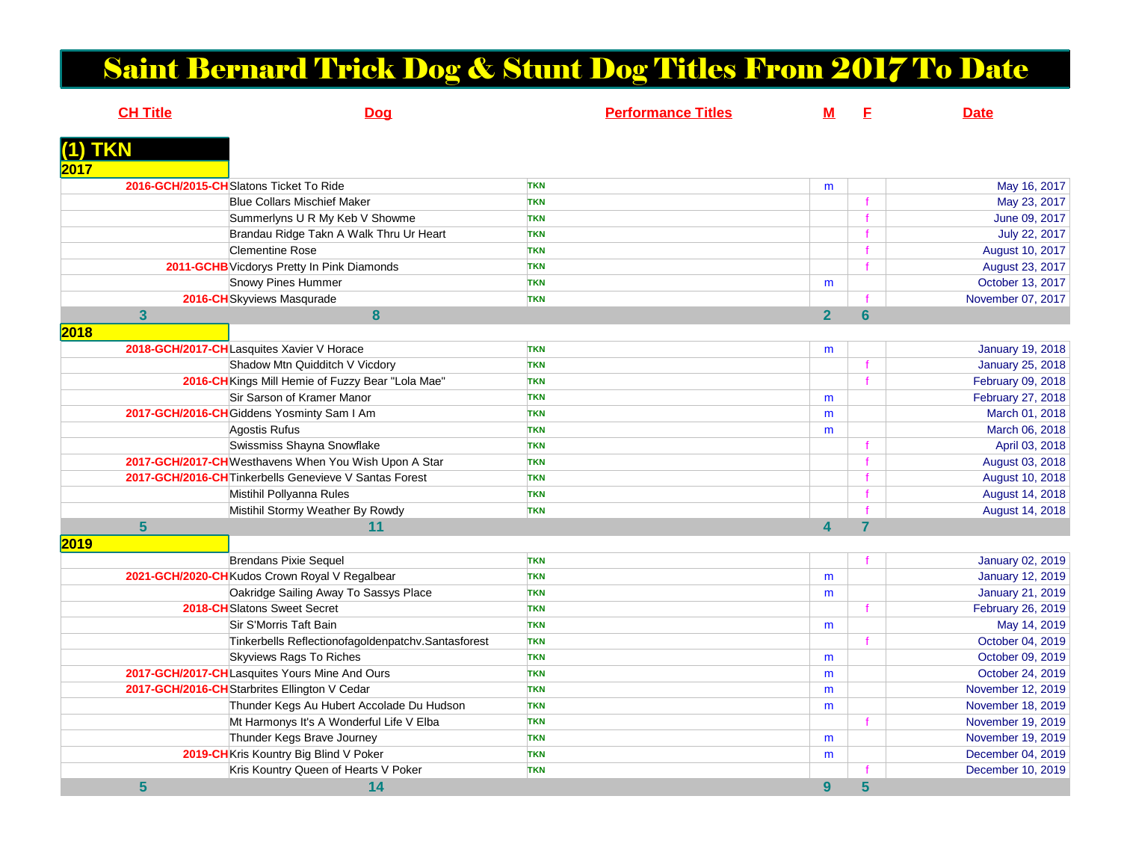## Saint Bernard Trick Dog & Stunt Dog Titles From 2017 To Date

|         | <b>CH Title</b> | Dog                                                    | <b>Performance Titles</b> | $\mathbf M$             | E              | <b>Date</b>             |
|---------|-----------------|--------------------------------------------------------|---------------------------|-------------------------|----------------|-------------------------|
| (1) TKN |                 |                                                        |                           |                         |                |                         |
| 2017    |                 |                                                        |                           |                         |                |                         |
|         |                 | 2016-GCH/2015-CHSlatons Ticket To Ride                 | <b>TKN</b>                | m                       |                | May 16, 2017            |
|         |                 | <b>Blue Collars Mischief Maker</b>                     | <b>TKN</b>                |                         |                | May 23, 2017            |
|         |                 | Summerlyns U R My Keb V Showme                         | <b>TKN</b>                |                         |                | June 09, 2017           |
|         |                 | Brandau Ridge Takn A Walk Thru Ur Heart                | <b>TKN</b>                |                         |                | July 22, 2017           |
|         |                 | <b>Clementine Rose</b>                                 | <b>TKN</b>                |                         |                | August 10, 2017         |
|         |                 | 2011-GCHB Vicdorys Pretty In Pink Diamonds             | <b>TKN</b>                |                         |                | August 23, 2017         |
|         |                 | Snowy Pines Hummer                                     | <b>TKN</b>                | m                       |                | October 13, 2017        |
|         |                 | 2016-CH Skyviews Masqurade                             | <b>TKN</b>                |                         |                | November 07, 2017       |
|         | $\overline{3}$  | 8                                                      |                           | $\overline{2}$          | $6\phantom{a}$ |                         |
| 2018    |                 |                                                        |                           |                         |                |                         |
|         |                 | 2018-GCH/2017-CHLasquites Xavier V Horace              | <b>TKN</b>                | m                       |                | <b>January 19, 2018</b> |
|         |                 | Shadow Mtn Quidditch V Vicdory                         | <b>TKN</b>                |                         |                | January 25, 2018        |
|         |                 | 2016-CH Kings Mill Hemie of Fuzzy Bear "Lola Mae"      | <b>TKN</b>                |                         |                | February 09, 2018       |
|         |                 | Sir Sarson of Kramer Manor                             | <b>TKN</b>                | m                       |                | February 27, 2018       |
|         |                 | 2017-GCH/2016-CH Giddens Yosminty Sam I Am             | <b>TKN</b>                | m                       |                | March 01, 2018          |
|         |                 | Agostis Rufus                                          | <b>TKN</b>                | m                       |                | March 06, 2018          |
|         |                 | Swissmiss Shayna Snowflake                             | <b>TKN</b>                |                         |                | April 03, 2018          |
|         |                 | 2017-GCH/2017-CHWesthavens When You Wish Upon A Star   | <b>TKN</b>                |                         |                | August 03, 2018         |
|         |                 | 2017-GCH/2016-CH Tinkerbells Genevieve V Santas Forest | <b>TKN</b>                |                         |                | August 10, 2018         |
|         |                 | Mistihil Pollyanna Rules                               | <b>TKN</b>                |                         |                | August 14, 2018         |
|         |                 | Mistihil Stormy Weather By Rowdy                       | <b>TKN</b>                |                         |                | August 14, 2018         |
|         | $5\phantom{1}$  | 11                                                     |                           | $\overline{\mathbf{A}}$ | $\overline{7}$ |                         |
| 2019    |                 |                                                        |                           |                         |                |                         |
|         |                 | <b>Brendans Pixie Sequel</b>                           | <b>TKN</b>                |                         |                | January 02, 2019        |
|         |                 | 2021-GCH/2020-CHKudos Crown Royal V Regalbear          | <b>TKN</b>                | m                       |                | <b>January 12, 2019</b> |
|         |                 | Oakridge Sailing Away To Sassys Place                  | <b>TKN</b>                | m                       |                | <b>January 21, 2019</b> |
|         |                 | 2018-CHSlatons Sweet Secret                            | <b>TKN</b>                |                         |                | February 26, 2019       |
|         |                 | Sir S'Morris Taft Bain                                 | <b>TKN</b>                | m                       |                | May 14, 2019            |
|         |                 | Tinkerbells Reflectionofagoldenpatchv.Santasforest     | <b>TKN</b>                |                         |                | October 04, 2019        |
|         |                 | <b>Skyviews Rags To Riches</b>                         | <b>TKN</b>                | m                       |                | October 09, 2019        |
|         |                 | 2017-GCH/2017-CHLasquites Yours Mine And Ours          | <b>TKN</b>                | m                       |                | October 24, 2019        |
|         |                 | 2017-GCH/2016-CHStarbrites Ellington V Cedar           | <b>TKN</b>                | m                       |                | November 12, 2019       |
|         |                 | Thunder Kegs Au Hubert Accolade Du Hudson              | <b>TKN</b>                | m                       |                | November 18, 2019       |
|         |                 | Mt Harmonys It's A Wonderful Life V Elba               | <b>TKN</b>                |                         |                | November 19, 2019       |
|         |                 | Thunder Kegs Brave Journey                             | <b>TKN</b>                | m                       |                | November 19, 2019       |
|         |                 | 2019-CH Kris Kountry Big Blind V Poker                 | <b>TKN</b>                | m                       |                | December 04, 2019       |
|         |                 | Kris Kountry Queen of Hearts V Poker                   | <b>TKN</b>                |                         |                | December 10, 2019       |
|         | 5               | 14                                                     |                           | 9                       | 5              |                         |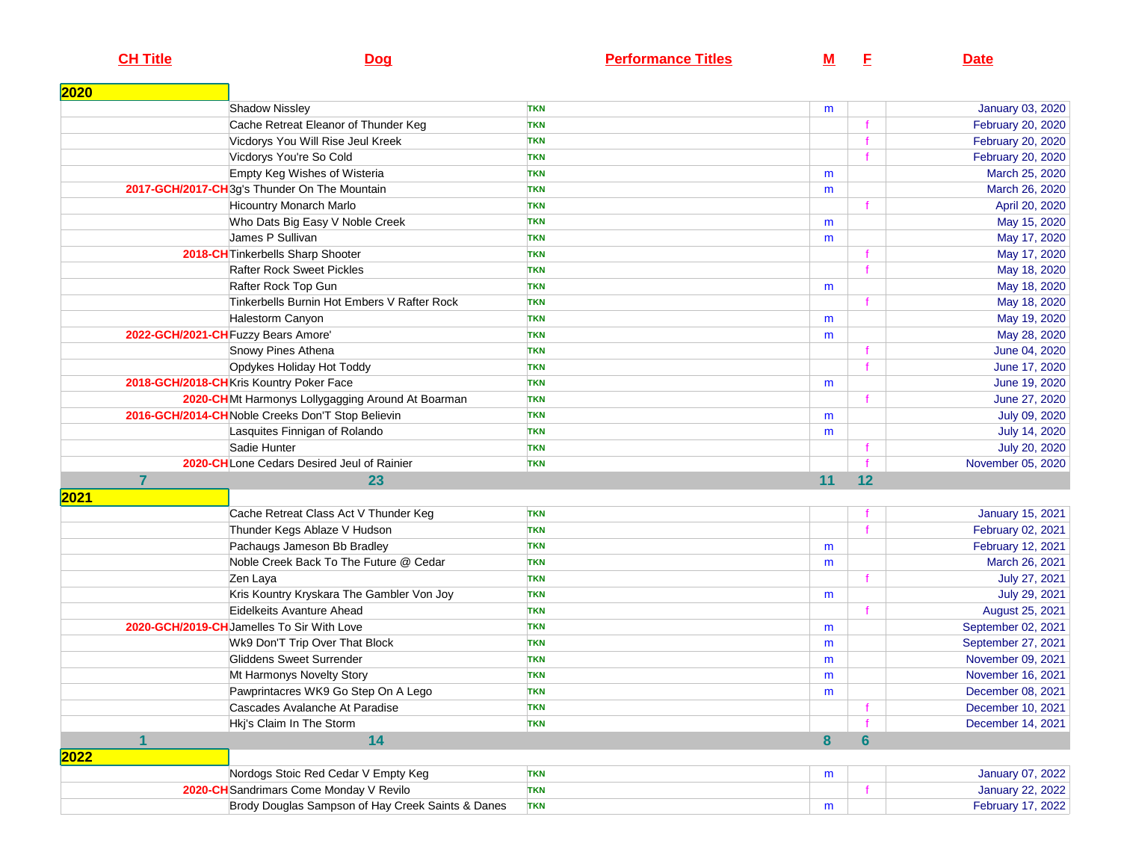**CH Title**

## **Dog**

**<sup>F</sup> Date**

| 2020 |                                                   |            |    |             |                         |
|------|---------------------------------------------------|------------|----|-------------|-------------------------|
|      | <b>Shadow Nissley</b>                             | <b>TKN</b> | m  |             | January 03, 2020        |
|      | Cache Retreat Eleanor of Thunder Keg              | <b>TKN</b> |    |             | February 20, 2020       |
|      | Vicdorys You Will Rise Jeul Kreek                 | <b>TKN</b> |    |             | February 20, 2020       |
|      | Vicdorys You're So Cold                           | <b>TKN</b> |    |             | February 20, 2020       |
|      | Empty Keg Wishes of Wisteria                      | <b>TKN</b> | m  |             | March 25, 2020          |
|      | 2017-GCH/2017-CH 3g's Thunder On The Mountain     | <b>TKN</b> | m  |             | March 26, 2020          |
|      | <b>Hicountry Monarch Marlo</b>                    | <b>TKN</b> |    |             | April 20, 2020          |
|      | Who Dats Big Easy V Noble Creek                   | <b>TKN</b> | m  |             | May 15, 2020            |
|      | James P Sullivan                                  | <b>TKN</b> | m  |             | May 17, 2020            |
|      | 2018-CH Tinkerbells Sharp Shooter                 | <b>TKN</b> |    |             | May 17, 2020            |
|      | <b>Rafter Rock Sweet Pickles</b>                  | <b>TKN</b> |    |             | May 18, 2020            |
|      | Rafter Rock Top Gun                               | <b>TKN</b> | m  |             | May 18, 2020            |
|      | Tinkerbells Burnin Hot Embers V Rafter Rock       | <b>TKN</b> |    | $\mathbf f$ | May 18, 2020            |
|      | Halestorm Canyon                                  | <b>TKN</b> | m  |             | May 19, 2020            |
|      | 2022-GCH/2021-CH Fuzzy Bears Amore'               | <b>TKN</b> | m  |             | May 28, 2020            |
|      | Snowy Pines Athena                                | <b>TKN</b> |    |             | June 04, 2020           |
|      | Opdykes Holiday Hot Toddy                         | <b>TKN</b> |    | $\ddot{f}$  | June 17, 2020           |
|      | 2018-GCH/2018-CHKris Kountry Poker Face           | <b>TKN</b> | m  |             | June 19, 2020           |
|      | 2020-CHMt Harmonys Lollygagging Around At Boarman | <b>TKN</b> |    |             | June 27, 2020           |
|      | 2016-GCH/2014-CHNoble Creeks Don'T Stop Believin  | <b>TKN</b> | m  |             | July 09, 2020           |
|      | Lasquites Finnigan of Rolando                     | <b>TKN</b> | m  |             | July 14, 2020           |
|      | Sadie Hunter                                      | <b>TKN</b> |    |             | July 20, 2020           |
|      | 2020-CHLone Cedars Desired Jeul of Rainier        | <b>TKN</b> |    |             | November 05, 2020       |
|      | $\overline{7}$<br>23                              |            | 11 | 12          |                         |
| 2021 |                                                   |            |    |             |                         |
|      | Cache Retreat Class Act V Thunder Keg             | <b>TKN</b> |    |             | <b>January 15, 2021</b> |
|      | Thunder Kegs Ablaze V Hudson                      | <b>TKN</b> |    | $\ddot{f}$  | February 02, 2021       |
|      | Pachaugs Jameson Bb Bradley                       | <b>TKN</b> | m  |             | February 12, 2021       |
|      | Noble Creek Back To The Future @ Cedar            | <b>TKN</b> | m  |             | March 26, 2021          |
|      | Zen Laya                                          | <b>TKN</b> |    |             | July 27, 2021           |
|      | Kris Kountry Kryskara The Gambler Von Joy         | <b>TKN</b> | m  |             | July 29, 2021           |
|      | Eidelkeits Avanture Ahead                         | <b>TKN</b> |    |             | August 25, 2021         |
|      | 2020-GCH/2019-CHJamelles To Sir With Love         | <b>TKN</b> | m  |             | September 02, 2021      |
|      | Wk9 Don'T Trip Over That Block                    | <b>TKN</b> | m  |             | September 27, 2021      |
|      | Gliddens Sweet Surrender                          | <b>TKN</b> | m  |             | November 09, 2021       |
|      | Mt Harmonys Novelty Story                         | <b>TKN</b> | m  |             | November 16, 2021       |
|      | Pawprintacres WK9 Go Step On A Lego               | <b>TKN</b> | m  |             | December 08, 2021       |
|      | Cascades Avalanche At Paradise                    | <b>TKN</b> |    |             | December 10, 2021       |
|      | Hkj's Claim In The Storm                          | <b>TKN</b> |    |             | December 14, 2021       |
|      | 14<br>1                                           |            | 8  | 6           |                         |
| 2022 |                                                   |            |    |             |                         |
|      | Nordogs Stoic Red Cedar V Empty Keg               | <b>TKN</b> | m  |             | January 07, 2022        |
|      | 2020-CH Sandrimars Come Monday V Revilo           | <b>TKN</b> |    | $\mathbf f$ | <b>January 22, 2022</b> |
|      | Brody Douglas Sampson of Hay Creek Saints & Danes | <b>TKN</b> | m  |             | February 17, 2022       |
|      |                                                   |            |    |             |                         |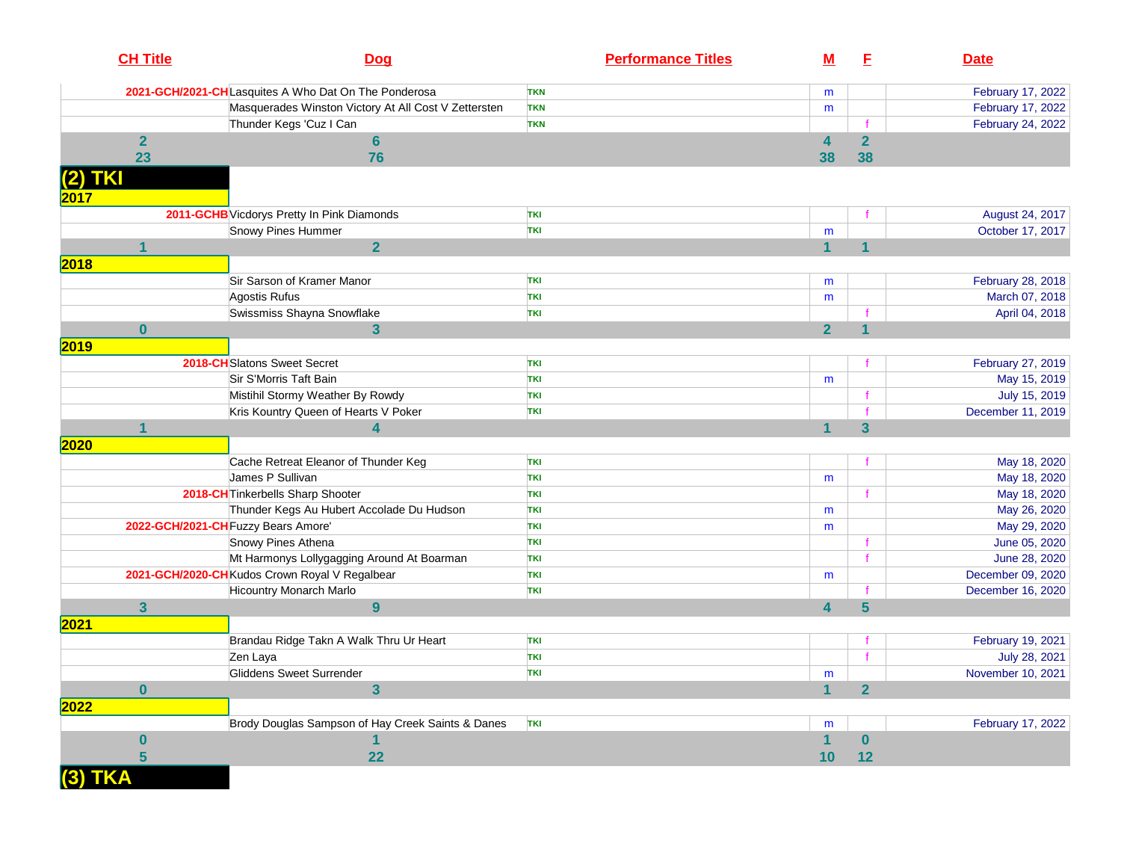|                 | <b>CH Title</b> | <b>Dog</b>                                           | <b>Performance Titles</b> | <u>M</u>       | Е                       | <b>Date</b>       |
|-----------------|-----------------|------------------------------------------------------|---------------------------|----------------|-------------------------|-------------------|
|                 |                 | 2021-GCH/2021-CHLasquites A Who Dat On The Ponderosa | <b>TKN</b>                | m              |                         | February 17, 2022 |
|                 |                 | Masquerades Winston Victory At All Cost V Zettersten | <b>TKN</b>                | m              |                         | February 17, 2022 |
|                 |                 | Thunder Kegs 'Cuz I Can                              | <b>TKN</b>                |                |                         | February 24, 2022 |
|                 | $\overline{2}$  | 6                                                    |                           | 4              | $\overline{\mathbf{2}}$ |                   |
|                 | 23              | 76                                                   |                           | 38             | 38                      |                   |
| (2) TKI<br>2017 |                 |                                                      |                           |                |                         |                   |
|                 |                 | 2011-GCHB Vicdorys Pretty In Pink Diamonds           | <b>TKI</b>                |                |                         | August 24, 2017   |
|                 |                 | Snowy Pines Hummer                                   | <b>TKI</b>                | m              |                         | October 17, 2017  |
|                 | 1               | $\overline{2}$                                       |                           | 4              | 1                       |                   |
| 2018            |                 |                                                      |                           |                |                         |                   |
|                 |                 | Sir Sarson of Kramer Manor                           | <b>TKI</b>                | m              |                         | February 28, 2018 |
|                 |                 | Agostis Rufus                                        | TKI                       | m              |                         | March 07, 2018    |
|                 |                 | Swissmiss Shayna Snowflake                           | <b>TKI</b>                |                |                         | April 04, 2018    |
|                 | $\bf{0}$        | $\mathbf{3}$                                         |                           | $\overline{2}$ | 1                       |                   |
| 2019            |                 |                                                      |                           |                |                         |                   |
|                 |                 | 2018-CH Slatons Sweet Secret                         | TKI                       |                |                         | February 27, 2019 |
|                 |                 | Sir S'Morris Taft Bain                               | <b>TKI</b>                | m              |                         | May 15, 2019      |
|                 |                 | Mistihil Stormy Weather By Rowdy                     | <b>TKI</b>                |                |                         | July 15, 2019     |
|                 |                 | Kris Kountry Queen of Hearts V Poker                 | <b>TKI</b>                |                |                         | December 11, 2019 |
|                 |                 | 4                                                    |                           |                | $\overline{\mathbf{3}}$ |                   |
| 2020            |                 |                                                      |                           |                |                         |                   |
|                 |                 | Cache Retreat Eleanor of Thunder Keg                 | <b>TKI</b>                |                |                         | May 18, 2020      |
|                 |                 | James P Sullivan                                     | <b>TKI</b>                | m              |                         | May 18, 2020      |
|                 |                 | 2018-CH Tinkerbells Sharp Shooter                    | <b>TKI</b>                |                |                         | May 18, 2020      |
|                 |                 | Thunder Kegs Au Hubert Accolade Du Hudson            | <b>TKI</b>                | m              |                         | May 26, 2020      |
|                 |                 | 2022-GCH/2021-CH Fuzzy Bears Amore'                  | <b>TKI</b>                | m              |                         | May 29, 2020      |
|                 |                 | Snowy Pines Athena                                   | <b>TKI</b>                |                |                         | June 05, 2020     |
|                 |                 | Mt Harmonys Lollygagging Around At Boarman           | <b>TKI</b>                |                |                         | June 28, 2020     |
|                 |                 | 2021-GCH/2020-CH Kudos Crown Royal V Regalbear       | <b>TKI</b>                | m              |                         | December 09, 2020 |
|                 |                 | <b>Hicountry Monarch Marlo</b>                       | <b>TKI</b>                |                |                         | December 16, 2020 |
|                 | 3               | 9                                                    |                           | 4              | $5\phantom{1}$          |                   |
| 2021            |                 |                                                      |                           |                |                         |                   |
|                 |                 | Brandau Ridge Takn A Walk Thru Ur Heart              | TKI                       |                |                         | February 19, 2021 |
|                 |                 | Zen Laya                                             | <b>TKI</b>                |                |                         | July 28, 2021     |
|                 |                 | Gliddens Sweet Surrender                             | <b>TKI</b>                | m              |                         | November 10, 2021 |
|                 | $\bf{0}$        | 3                                                    |                           | 1              | $\overline{2}$          |                   |
|                 |                 |                                                      |                           |                |                         |                   |
|                 |                 |                                                      |                           |                |                         |                   |
| 2022            |                 |                                                      | TKI                       |                |                         |                   |
|                 |                 | Brody Douglas Sampson of Hay Creek Saints & Danes    |                           | m              |                         | February 17, 2022 |
|                 | $\bf{0}$        |                                                      |                           |                | $\bf{0}$                |                   |
| (3) TKA         | 5               | 22                                                   |                           | 10             | 12                      |                   |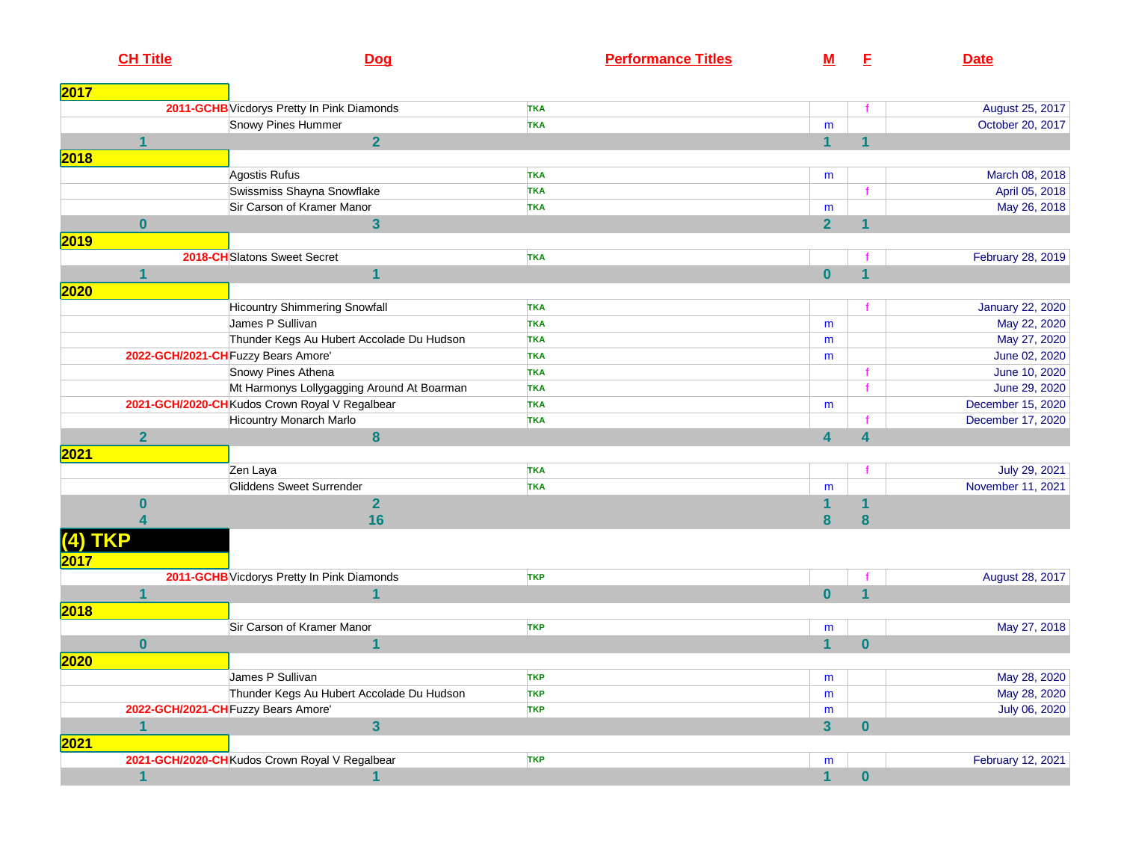|      | <b>CH Title</b>         | <b>Dog</b>                                     | <b>Performance Titles</b> | M                       | E                       | <b>Date</b>             |
|------|-------------------------|------------------------------------------------|---------------------------|-------------------------|-------------------------|-------------------------|
| 2017 |                         |                                                |                           |                         |                         |                         |
|      |                         | 2011-GCHB Vicdorys Pretty In Pink Diamonds     | <b>TKA</b>                |                         |                         | August 25, 2017         |
|      |                         | Snowy Pines Hummer                             | <b>TKA</b>                | m                       |                         | October 20, 2017        |
|      | 1                       | $\overline{2}$                                 |                           | $\overline{1}$          | $\overline{\mathbf{1}}$ |                         |
| 2018 |                         |                                                |                           |                         |                         |                         |
|      |                         | Agostis Rufus                                  | <b>TKA</b>                | m                       |                         | March 08, 2018          |
|      |                         | Swissmiss Shayna Snowflake                     | <b>TKA</b>                |                         | $\mathbf f$             | April 05, 2018          |
|      |                         | Sir Carson of Kramer Manor                     | <b>TKA</b>                | m                       |                         | May 26, 2018            |
|      | $\bf{0}$                | $\mathbf{3}$                                   |                           | $\overline{2}$          | $\mathbf 1$             |                         |
| 2019 |                         |                                                |                           |                         |                         |                         |
|      |                         | 2018-CH Slatons Sweet Secret                   | <b>TKA</b>                |                         |                         | February 28, 2019       |
|      | 1                       | $\overline{\mathbf{1}}$                        |                           | $\mathbf{0}$            | $\mathbf 1$             |                         |
| 2020 |                         |                                                |                           |                         |                         |                         |
|      |                         | <b>Hicountry Shimmering Snowfall</b>           | <b>TKA</b>                |                         |                         | <b>January 22, 2020</b> |
|      |                         | James P Sullivan                               | <b>TKA</b>                | m                       |                         | May 22, 2020            |
|      |                         | Thunder Kegs Au Hubert Accolade Du Hudson      | <b>TKA</b>                | m                       |                         | May 27, 2020            |
|      |                         | 2022-GCH/2021-CH Fuzzy Bears Amore'            | <b>TKA</b>                | m                       |                         | June 02, 2020           |
|      |                         | Snowy Pines Athena                             | <b>TKA</b>                |                         |                         | June 10, 2020           |
|      |                         | Mt Harmonys Lollygagging Around At Boarman     | <b>TKA</b>                |                         | $\mathbf f$             | June 29, 2020           |
|      |                         | 2021-GCH/2020-CH Kudos Crown Royal V Regalbear | <b>TKA</b>                | m                       |                         | December 15, 2020       |
|      |                         | <b>Hicountry Monarch Marlo</b>                 | <b>TKA</b>                |                         | $\mathbf f$             | December 17, 2020       |
|      | $\overline{2}$          | 8                                              |                           | $\overline{\mathbf{4}}$ | 4                       |                         |
| 2021 |                         |                                                |                           |                         |                         |                         |
|      |                         | Zen Laya                                       | <b>TKA</b>                |                         |                         | July 29, 2021           |
|      |                         | Gliddens Sweet Surrender                       | <b>TKA</b>                | m                       |                         | November 11, 2021       |
|      | $\bf{0}$                | $\overline{2}$                                 |                           | 1                       | 1                       |                         |
|      | $\overline{\mathbf{4}}$ | 16                                             |                           | 8                       | 8                       |                         |
|      | <b>TKP</b>              |                                                |                           |                         |                         |                         |
|      |                         | 2011-GCHB Vicdorys Pretty In Pink Diamonds     | <b>TKP</b>                |                         |                         | August 28, 2017         |
|      | $\mathbf{1}$            | 1                                              |                           | $\overline{\mathbf{0}}$ | $\overline{\mathbf{1}}$ |                         |
| 2018 |                         |                                                |                           |                         |                         |                         |
|      |                         | Sir Carson of Kramer Manor                     | <b>TKP</b>                | m                       |                         | May 27, 2018            |
|      | $\bf{0}$                |                                                |                           | $\mathbf{1}$            | $\mathbf{0}$            |                         |
| 2020 |                         |                                                |                           |                         |                         |                         |
|      |                         | James P Sullivan                               | <b>TKP</b>                | m                       |                         | May 28, 2020            |
|      |                         | Thunder Kegs Au Hubert Accolade Du Hudson      | <b>TKP</b>                | m                       |                         | May 28, 2020            |
|      |                         | 2022-GCH/2021-CH Fuzzy Bears Amore'            | <b>TKP</b>                | m                       |                         | July 06, 2020           |
|      | 1                       | $\overline{3}$                                 |                           | $\overline{\mathbf{3}}$ | $\bf{0}$                |                         |
| 2021 |                         |                                                |                           |                         |                         |                         |
|      |                         | 2021-GCH/2020-CHKudos Crown Royal V Regalbear  | <b>TKP</b>                | m                       |                         | February 12, 2021       |
|      | $\overline{1}$          |                                                |                           | $\overline{1}$          | $\bf{0}$                |                         |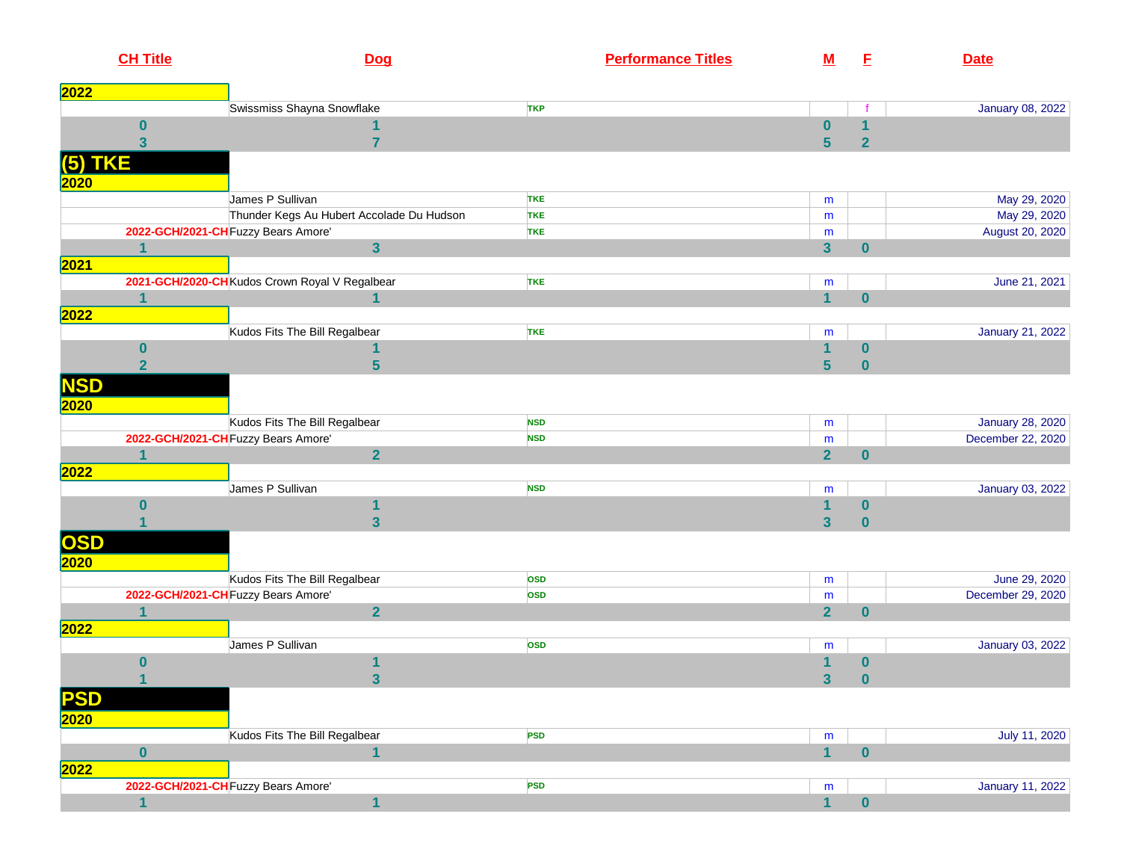|             | <b>CH Title</b>  |                                                | Dog                     |            | <b>Performance Titles</b> | <u>M</u>                | E              | <b>Date</b>             |
|-------------|------------------|------------------------------------------------|-------------------------|------------|---------------------------|-------------------------|----------------|-------------------------|
| 2022        |                  |                                                |                         |            |                           |                         |                |                         |
|             |                  | Swissmiss Shayna Snowflake                     |                         | <b>TKP</b> |                           |                         |                | January 08, 2022        |
|             | 0                |                                                |                         |            |                           | $\mathbf{0}$            | $\mathbf 1$    |                         |
|             | 3                |                                                | 7                       |            |                           | $5\phantom{a}$          | $\overline{2}$ |                         |
| (5)         | <b>TKE</b>       |                                                |                         |            |                           |                         |                |                         |
| <b>2020</b> |                  |                                                |                         |            |                           |                         |                |                         |
|             |                  | James P Sullivan                               |                         | <b>TKE</b> |                           | m                       |                | May 29, 2020            |
|             |                  | Thunder Kegs Au Hubert Accolade Du Hudson      |                         | <b>TKE</b> |                           | m                       |                | May 29, 2020            |
|             |                  | 2022-GCH/2021-CH Fuzzy Bears Amore'            |                         | <b>TKE</b> |                           | m                       |                | August 20, 2020         |
|             | $\mathbf 1$      |                                                | $\overline{\mathbf{3}}$ |            |                           | 3 <sup>1</sup>          | $\bf{0}$       |                         |
| 2021        |                  |                                                |                         |            |                           |                         |                |                         |
|             |                  | 2021-GCH/2020-CH Kudos Crown Royal V Regalbear |                         | <b>TKE</b> |                           | m                       |                | June 21, 2021           |
|             | 1                |                                                | $\overline{1}$          |            |                           | $\overline{1}$          | $\bf{0}$       |                         |
| 2022        |                  |                                                |                         |            |                           |                         |                |                         |
|             |                  | Kudos Fits The Bill Regalbear                  |                         | <b>TKE</b> |                           | m                       |                | January 21, 2022        |
|             | $\boldsymbol{0}$ |                                                |                         |            |                           | 1                       | $\pmb{0}$      |                         |
|             | $\overline{2}$   |                                                | $\overline{\mathbf{5}}$ |            |                           | $5\phantom{a}$          | $\bf{0}$       |                         |
| <b>NSD</b>  |                  |                                                |                         |            |                           |                         |                |                         |
| 2020        |                  |                                                |                         |            |                           |                         |                |                         |
|             |                  | Kudos Fits The Bill Regalbear                  |                         | <b>NSD</b> |                           | m                       |                | <b>January 28, 2020</b> |
|             |                  | 2022-GCH/2021-CH Fuzzy Bears Amore'            |                         | <b>NSD</b> |                           | m                       |                | December 22, 2020       |
|             | $\overline{1}$   |                                                | $\overline{2}$          |            |                           | $\overline{2}$          | $\bf{0}$       |                         |
| 2022        |                  |                                                |                         |            |                           |                         |                |                         |
|             |                  | James P Sullivan                               |                         | <b>NSD</b> |                           | m                       |                | January 03, 2022        |
|             | $\bf{0}$         |                                                | 1                       |            |                           | $\mathbf{1}$            | $\pmb{0}$      |                         |
|             |                  |                                                | $\overline{\mathbf{3}}$ |            |                           | 3 <sup>5</sup>          | $\bf{0}$       |                         |
| OSD         |                  |                                                |                         |            |                           |                         |                |                         |
| 2020        |                  |                                                |                         |            |                           |                         |                |                         |
|             |                  | Kudos Fits The Bill Regalbear                  |                         | <b>OSD</b> |                           | m                       |                | June 29, 2020           |
|             |                  | 2022-GCH/2021-CH Fuzzy Bears Amore'            |                         | <b>OSD</b> |                           | m                       |                | December 29, 2020       |
|             | 1                |                                                | $\overline{2}$          |            |                           | $\overline{2}$          | $\bf{0}$       |                         |
| 2022        |                  |                                                |                         |            |                           |                         |                |                         |
|             |                  | James P Sullivan                               |                         | <b>OSD</b> |                           | m                       |                | January 03, 2022        |
|             | $\bf{0}$         |                                                | 1                       |            |                           | $\overline{\mathbf{1}}$ | $\pmb{0}$      |                         |
|             | $\mathbf{1}$     |                                                | $\overline{\mathbf{3}}$ |            |                           | 3 <sup>1</sup>          | $\pmb{0}$      |                         |
| <b>PSD</b>  |                  |                                                |                         |            |                           |                         |                |                         |
| 2020        |                  |                                                |                         |            |                           |                         |                |                         |
|             |                  | Kudos Fits The Bill Regalbear                  |                         | <b>PSD</b> |                           | m                       |                | July 11, 2020           |
|             | $\mathbf{0}$     |                                                | $\overline{1}$          |            |                           | $\overline{1}$          | $\pmb{0}$      |                         |
| 2022        |                  |                                                |                         |            |                           |                         |                |                         |
|             |                  | 2022-GCH/2021-CH Fuzzy Bears Amore'            |                         | <b>PSD</b> |                           | m                       |                | <b>January 11, 2022</b> |
|             | $\mathbf{1}$     |                                                | 1                       |            |                           | $\overline{1}$          | $\pmb{0}$      |                         |